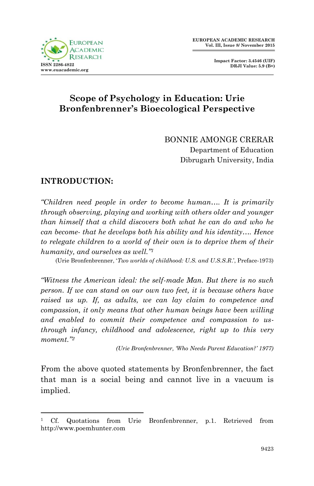



# **Scope of Psychology in Education: Urie Bronfenbrenner's Bioecological Perspective**

BONNIE AMONGE CRERAR Department of Education Dibrugarh University, India

## **INTRODUCTION:**

1

*"Children need people in order to become human…. It is primarily through observing, playing and working with others older and younger than himself that a child discovers both what he can do and who he can become- that he develops both his ability and his identity…. Hence to relegate children to a world of their own is to deprive them of their humanity, and ourselves as well."<sup>1</sup>*

(Urie Bronfenbrenner, "*Two worlds of childhood: U.S. and U.S.S.R*.", Preface-1973)

*"Witness the American ideal: the self-made Man. But there is no such person. If we can stand on our own two feet, it is because others have raised us up. If, as adults, we can lay claim to competence and compassion, it only means that other human beings have been willing and enabled to commit their competence and compassion to usthrough infancy, childhood and adolescence, right up to this very moment."<sup>2</sup>*

*(Urie Bronfenbrenner, "Who Needs Parent Education?" 1977)*

From the above quoted statements by Bronfenbrenner, the fact that man is a social being and cannot live in a vacuum is implied.

<sup>1</sup> Cf. Quotations from Urie Bronfenbrenner, p.1. Retrieved from http://www.poemhunter.com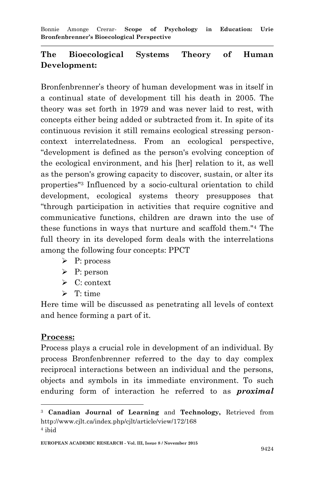Bonnie Amonge Crerar*-* **Scope of Psychology in Education: Urie Bronfenbrenner's Bioecological Perspective**

# **The Bioecological Systems Theory of Human Development:**

Bronfenbrenner's theory of human development was in itself in a continual state of development till his death in 2005. The theory was set forth in 1979 and was never laid to rest, with concepts either being added or subtracted from it. In spite of its continuous revision it still remains ecological stressing personcontext interrelatedness. From an ecological perspective, "development is defined as the person's evolving conception of the ecological environment, and his [her] relation to it, as well as the person's growing capacity to discover, sustain, or alter its properties"<sup>3</sup> Influenced by a socio-cultural orientation to child development, ecological systems theory presupposes that "through participation in activities that require cognitive and communicative functions, children are drawn into the use of these functions in ways that nurture and scaffold them."<sup>4</sup> The full theory in its developed form deals with the interrelations among the following four concepts: PPCT

- P: process
- $\triangleright$  P: person
- $\triangleright$  C: context
- $\triangleright$  T time

Here time will be discussed as penetrating all levels of context and hence forming a part of it.

#### **Process:**

1

Process plays a crucial role in development of an individual. By process Bronfenbrenner referred to the day to day complex reciprocal interactions between an individual and the persons, objects and symbols in its immediate environment. To such enduring form of interaction he referred to as *proximal* 

<sup>3</sup> **Canadian Journal of Learning** and **Technology,** Retrieved from http://www.cjlt.ca/index.php/cjlt/article/view/172/168 4 ibid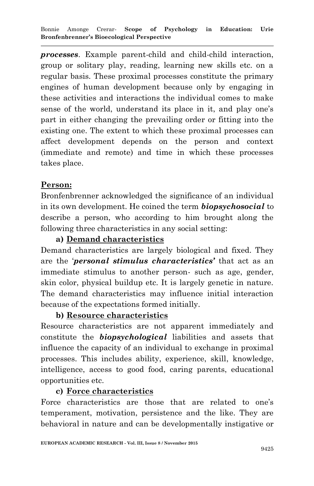*processes*. Example parent-child and child-child interaction, group or solitary play, reading, learning new skills etc. on a regular basis. These proximal processes constitute the primary engines of human development because only by engaging in these activities and interactions the individual comes to make sense of the world, understand its place in it, and play one's part in either changing the prevailing order or fitting into the existing one. The extent to which these proximal processes can affect development depends on the person and context (immediate and remote) and time in which these processes takes place.

## **Person:**

Bronfenbrenner acknowledged the significance of an individual in its own development. He coined the term *biopsychosocial* to describe a person, who according to him brought along the following three characteristics in any social setting:

## **a) Demand characteristics**

Demand characteristics are largely biological and fixed. They are the "*personal stimulus characteristics'* that act as an immediate stimulus to another person- such as age, gender, skin color, physical buildup etc. It is largely genetic in nature. The demand characteristics may influence initial interaction because of the expectations formed initially.

## **b) Resource characteristics**

Resource characteristics are not apparent immediately and constitute the *biopsychological* liabilities and assets that influence the capacity of an individual to exchange in proximal processes. This includes ability, experience, skill, knowledge, intelligence, access to good food, caring parents, educational opportunities etc.

# **c) Force characteristics**

Force characteristics are those that are related to one's temperament, motivation, persistence and the like. They are behavioral in nature and can be developmentally instigative or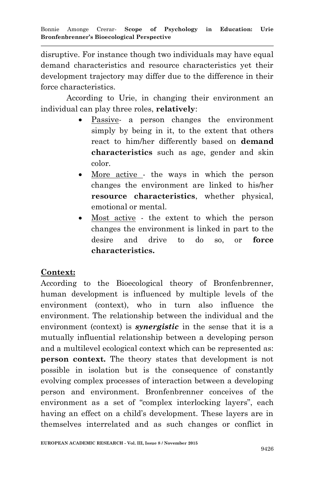disruptive. For instance though two individuals may have equal demand characteristics and resource characteristics yet their development trajectory may differ due to the difference in their force characteristics.

According to Urie, in changing their environment an individual can play three roles, **relatively**:

- Passive- a person changes the environment simply by being in it, to the extent that others react to him/her differently based on **demand characteristics** such as age, gender and skin color.
- More active the ways in which the person changes the environment are linked to his/her **resource characteristics**, whether physical, emotional or mental.
- Most active the extent to which the person changes the environment is linked in part to the desire and drive to do so, or **force characteristics.**

## **Context:**

According to the Bioecological theory of Bronfenbrenner, human development is influenced by multiple levels of the environment (context), who in turn also influence the environment. The relationship between the individual and the environment (context) is *synergistic* in the sense that it is a mutually influential relationship between a developing person and a multilevel ecological context which can be represented as: **person context.** The theory states that development is not possible in isolation but is the consequence of constantly evolving complex processes of interaction between a developing person and environment. Bronfenbrenner conceives of the environment as a set of "complex interlocking layers", each having an effect on a child's development. These layers are in themselves interrelated and as such changes or conflict in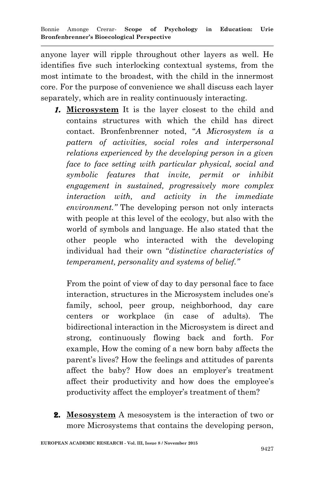anyone layer will ripple throughout other layers as well. He identifies five such interlocking contextual systems, from the most intimate to the broadest, with the child in the innermost core. For the purpose of convenience we shall discuss each layer separately, which are in reality continuously interacting.

1. **Microsystem** It is the layer closest to the child and contains structures with which the child has direct contact. Bronfenbrenner noted, "*A Microsystem is a pattern of activities, social roles and interpersonal relations experienced by the developing person in a given face to face setting with particular physical, social and symbolic features that invite, permit or inhibit engagement in sustained, progressively more complex interaction with, and activity in the immediate environment."* The developing person not only interacts with people at this level of the ecology, but also with the world of symbols and language. He also stated that the other people who interacted with the developing individual had their own "*distinctive characteristics of temperament, personality and systems of belief."*

From the point of view of day to day personal face to face interaction, structures in the Microsystem includes one"s family, school, peer group, neighborhood, day care centers or workplace (in case of adults). The bidirectional interaction in the Microsystem is direct and strong, continuously flowing back and forth. For example, How the coming of a new born baby affects the parent's lives? How the feelings and attitudes of parents affect the baby? How does an employer's treatment affect their productivity and how does the employee"s productivity affect the employer's treatment of them?

2. **Mesosystem** A mesosystem is the interaction of two or more Microsystems that contains the developing person,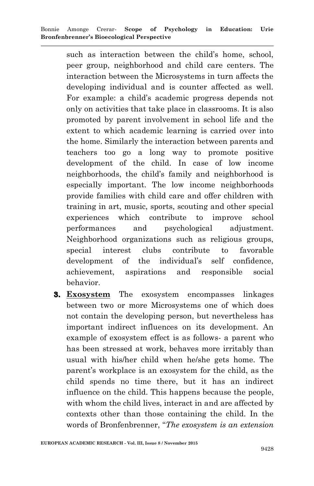such as interaction between the child's home, school, peer group, neighborhood and child care centers. The interaction between the Microsystems in turn affects the developing individual and is counter affected as well. For example: a child"s academic progress depends not only on activities that take place in classrooms. It is also promoted by parent involvement in school life and the extent to which academic learning is carried over into the home. Similarly the interaction between parents and teachers too go a long way to promote positive development of the child. In case of low income neighborhoods, the child"s family and neighborhood is especially important. The low income neighborhoods provide families with child care and offer children with training in art, music, sports, scouting and other special experiences which contribute to improve school performances and psychological adjustment. Neighborhood organizations such as religious groups, special interest clubs contribute to favorable development of the individual's self confidence, achievement, aspirations and responsible social behavior.

3. **Exosystem** The exosystem encompasses linkages between two or more Microsystems one of which does not contain the developing person, but nevertheless has important indirect influences on its development. An example of exosystem effect is as follows- a parent who has been stressed at work, behaves more irritably than usual with his/her child when he/she gets home. The parent"s workplace is an exosystem for the child, as the child spends no time there, but it has an indirect influence on the child. This happens because the people, with whom the child lives, interact in and are affected by contexts other than those containing the child. In the words of Bronfenbrenner, "*The exosystem is an extension*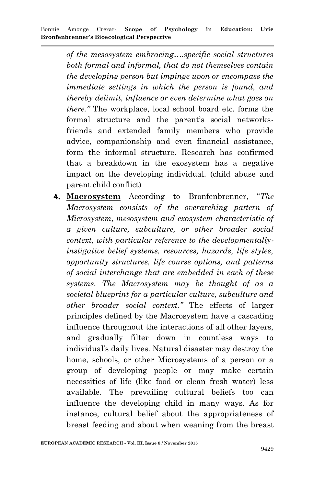*of the mesosystem embracing….specific social structures both formal and informal, that do not themselves contain the developing person but impinge upon or encompass the immediate settings in which the person is found, and thereby delimit, influence or even determine what goes on there."* The workplace, local school board etc. forms the formal structure and the parent's social networksfriends and extended family members who provide advice, companionship and even financial assistance, form the informal structure. Research has confirmed that a breakdown in the exosystem has a negative impact on the developing individual. (child abuse and parent child conflict)

4. **Macrosystem** According to Bronfenbrenner, "*The Macrosystem consists of the overarching pattern of Microsystem, mesosystem and exosystem characteristic of a given culture, subculture, or other broader social context, with particular reference to the developmentallyinstigative belief systems, resources, hazards, life styles, opportunity structures, life course options, and patterns of social interchange that are embedded in each of these systems. The Macrosystem may be thought of as a societal blueprint for a particular culture, subculture and other broader social context."* The effects of larger principles defined by the Macrosystem have a cascading influence throughout the interactions of all other layers, and gradually filter down in countless ways to individual"s daily lives. Natural disaster may destroy the home, schools, or other Microsystems of a person or a group of developing people or may make certain necessities of life (like food or clean fresh water) less available. The prevailing cultural beliefs too can influence the developing child in many ways. As for instance, cultural belief about the appropriateness of breast feeding and about when weaning from the breast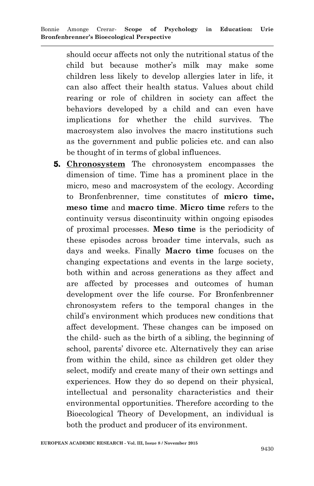should occur affects not only the nutritional status of the child but because mother"s milk may make some children less likely to develop allergies later in life, it can also affect their health status. Values about child rearing or role of children in society can affect the behaviors developed by a child and can even have implications for whether the child survives. The macrosystem also involves the macro institutions such as the government and public policies etc. and can also be thought of in terms of global influences.

5. **Chronosystem** The chronosystem encompasses the dimension of time. Time has a prominent place in the micro, meso and macrosystem of the ecology. According to Bronfenbrenner, time constitutes of **micro time, meso time** and **macro time**. **Micro time** refers to the continuity versus discontinuity within ongoing episodes of proximal processes. **Meso time** is the periodicity of these episodes across broader time intervals, such as days and weeks. Finally **Macro time** focuses on the changing expectations and events in the large society, both within and across generations as they affect and are affected by processes and outcomes of human development over the life course. For Bronfenbrenner chronosystem refers to the temporal changes in the child"s environment which produces new conditions that affect development. These changes can be imposed on the child- such as the birth of a sibling, the beginning of school, parents' divorce etc. Alternatively they can arise from within the child, since as children get older they select, modify and create many of their own settings and experiences. How they do so depend on their physical, intellectual and personality characteristics and their environmental opportunities. Therefore according to the Bioecological Theory of Development, an individual is both the product and producer of its environment.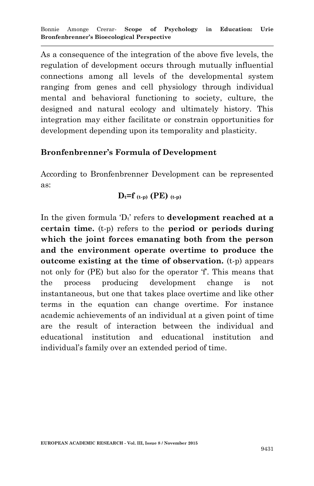As a consequence of the integration of the above five levels, the regulation of development occurs through mutually influential connections among all levels of the developmental system ranging from genes and cell physiology through individual mental and behavioral functioning to society, culture, the designed and natural ecology and ultimately history. This integration may either facilitate or constrain opportunities for development depending upon its temporality and plasticity.

#### **Bronfenbrenner's Formula of Development**

According to Bronfenbrenner Development can be represented as:

$$
D_t\text{=}f\ _{(t\text{-}p)}\ (PE)\ _{(t\text{-}p)}
$$

In the given formula  $D_t$  refers to **development reached at a certain time.** (t-p) refers to the **period or periods during which the joint forces emanating both from the person and the environment operate overtime to produce the outcome existing at the time of observation.** (t-p) appears not only for (PE) but also for the operator 'f'. This means that the process producing development change is not instantaneous, but one that takes place overtime and like other terms in the equation can change overtime. For instance academic achievements of an individual at a given point of time are the result of interaction between the individual and educational institution and educational institution and individual"s family over an extended period of time.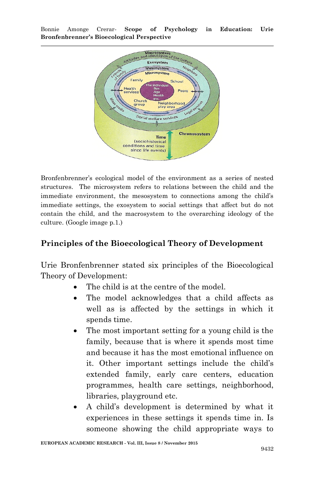Bonnie Amonge Crerar*-* **Scope of Psychology in Education: Urie Bronfenbrenner's Bioecological Perspective**



Bronfenbrenner"s ecological model of the environment as a series of nested structures. The microsystem refers to relations between the child and the immediate environment, the mesosystem to connections among the child"s immediate settings, the exosystem to social settings that affect but do not contain the child, and the macrosystem to the overarching ideology of the culture. (Google image p.1.)

#### **Principles of the Bioecological Theory of Development**

Urie Bronfenbrenner stated six principles of the Bioecological Theory of Development:

- The child is at the centre of the model.
- The model acknowledges that a child affects as well as is affected by the settings in which it spends time.
- The most important setting for a young child is the family, because that is where it spends most time and because it has the most emotional influence on it. Other important settings include the child"s extended family, early care centers, education programmes, health care settings, neighborhood, libraries, playground etc.
- A child"s development is determined by what it experiences in these settings it spends time in. Is someone showing the child appropriate ways to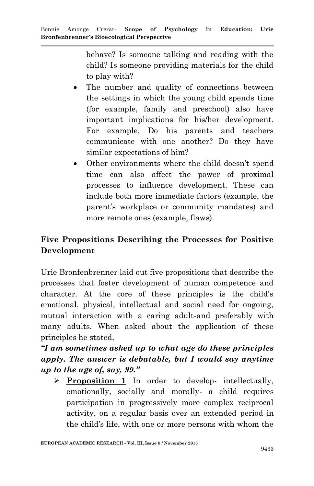behave? Is someone talking and reading with the child? Is someone providing materials for the child to play with?

- The number and quality of connections between the settings in which the young child spends time (for example, family and preschool) also have important implications for his/her development. For example, Do his parents and teachers communicate with one another? Do they have similar expectations of him?
- Other environments where the child doesn"t spend time can also affect the power of proximal processes to influence development. These can include both more immediate factors (example, the parent"s workplace or community mandates) and more remote ones (example, flaws).

# **Five Propositions Describing the Processes for Positive Development**

Urie Bronfenbrenner laid out five propositions that describe the processes that foster development of human competence and character. At the core of these principles is the child"s emotional, physical, intellectual and social need for ongoing, mutual interaction with a caring adult-and preferably with many adults. When asked about the application of these principles he stated,

*"I am sometimes asked up to what age do these principles apply. The answer is debatable, but I would say anytime up to the age of, say, 99."*

 **Proposition 1** In order to develop- intellectually, emotionally, socially and morally- a child requires participation in progressively more complex reciprocal activity, on a regular basis over an extended period in the child"s life, with one or more persons with whom the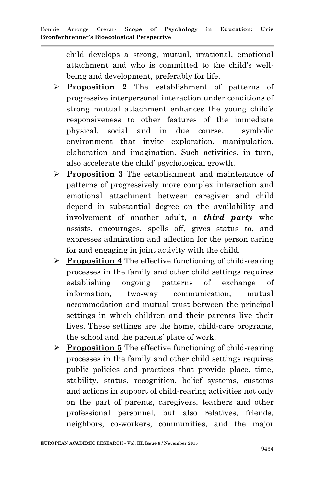child develops a strong, mutual, irrational, emotional attachment and who is committed to the child"s wellbeing and development, preferably for life.

- **Proposition 2** The establishment of patterns of progressive interpersonal interaction under conditions of strong mutual attachment enhances the young child"s responsiveness to other features of the immediate physical, social and in due course, symbolic environment that invite exploration, manipulation, elaboration and imagination. Such activities, in turn, also accelerate the child" psychological growth.
- **Proposition 3** The establishment and maintenance of patterns of progressively more complex interaction and emotional attachment between caregiver and child depend in substantial degree on the availability and involvement of another adult, a *third party* who assists, encourages, spells off, gives status to, and expresses admiration and affection for the person caring for and engaging in joint activity with the child.
- **Proposition 4** The effective functioning of child-rearing processes in the family and other child settings requires establishing ongoing patterns of exchange of information, two-way communication, mutual accommodation and mutual trust between the principal settings in which children and their parents live their lives. These settings are the home, child-care programs, the school and the parents' place of work.
- **Proposition 5** The effective functioning of child-rearing processes in the family and other child settings requires public policies and practices that provide place, time, stability, status, recognition, belief systems, customs and actions in support of child-rearing activities not only on the part of parents, caregivers, teachers and other professional personnel, but also relatives, friends, neighbors, co-workers, communities, and the major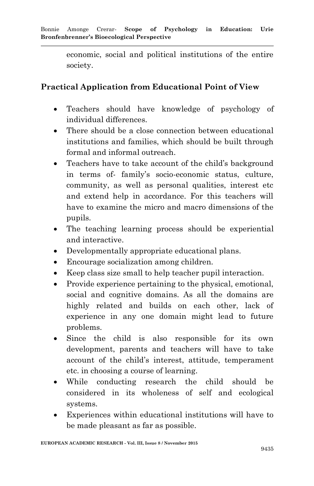economic, social and political institutions of the entire society.

## **Practical Application from Educational Point of View**

- Teachers should have knowledge of psychology of individual differences.
- There should be a close connection between educational institutions and families, which should be built through formal and informal outreach.
- Teachers have to take account of the child"s background in terms of- family"s socio-economic status, culture, community, as well as personal qualities, interest etc and extend help in accordance. For this teachers will have to examine the micro and macro dimensions of the pupils.
- The teaching learning process should be experiential and interactive.
- Developmentally appropriate educational plans.
- Encourage socialization among children.
- Keep class size small to help teacher pupil interaction.
- Provide experience pertaining to the physical, emotional, social and cognitive domains. As all the domains are highly related and builds on each other, lack of experience in any one domain might lead to future problems.
- Since the child is also responsible for its own development, parents and teachers will have to take account of the child"s interest, attitude, temperament etc. in choosing a course of learning.
- While conducting research the child should be considered in its wholeness of self and ecological systems.
- Experiences within educational institutions will have to be made pleasant as far as possible.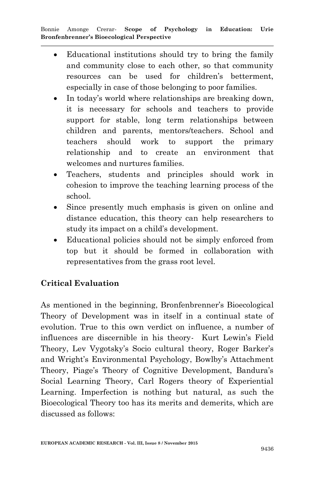- Educational institutions should try to bring the family and community close to each other, so that community resources can be used for children"s betterment, especially in case of those belonging to poor families.
- In today's world where relationships are breaking down, it is necessary for schools and teachers to provide support for stable, long term relationships between children and parents, mentors/teachers. School and teachers should work to support the primary relationship and to create an environment that welcomes and nurtures families.
- Teachers, students and principles should work in cohesion to improve the teaching learning process of the school.
- Since presently much emphasis is given on online and distance education, this theory can help researchers to study its impact on a child"s development.
- Educational policies should not be simply enforced from top but it should be formed in collaboration with representatives from the grass root level.

# **Critical Evaluation**

As mentioned in the beginning, Bronfenbrenner's Bioecological Theory of Development was in itself in a continual state of evolution. True to this own verdict on influence, a number of influences are discernible in his theory- Kurt Lewin"s Field Theory, Lev Vygotsky's Socio cultural theory, Roger Barker's and Wright's Environmental Psychology, Bowlby's Attachment Theory, Piage's Theory of Cognitive Development, Bandura's Social Learning Theory, Carl Rogers theory of Experiential Learning. Imperfection is nothing but natural, as such the Bioecological Theory too has its merits and demerits, which are discussed as follows: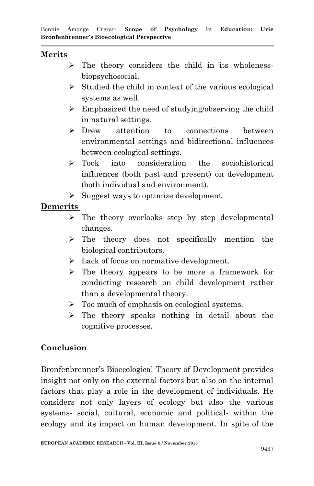#### **Merits**

- $\triangleright$  The theory considers the child in its wholenessbiopsychosocial.
- $\triangleright$  Studied the child in context of the various ecological systems as well.
- $\triangleright$  Emphasized the need of studying/observing the child in natural settings.
- Drew attention to connections between environmental settings and bidirectional influences between ecological settings.
- > Took into consideration the sociohistorical influences (both past and present) on development (both individual and environment).
- $\triangleright$  Suggest ways to optimize development.

# **Demerits**

- $\triangleright$  The theory overlooks step by step developmental changes.
- > The theory does not specifically mention the biological contributors.
- $\triangleright$  Lack of focus on normative development.
- The theory appears to be more a framework for conducting research on child development rather than a developmental theory.
- > Too much of emphasis on ecological systems.
- $\triangleright$  The theory speaks nothing in detail about the cognitive processes.

# **Conclusion**

Bronfenbrenner"s Bioecological Theory of Development provides insight not only on the external factors but also on the internal factors that play a role in the development of individuals. He considers not only layers of ecology but also the various systems- social, cultural, economic and political- within the ecology and its impact on human development. In spite of the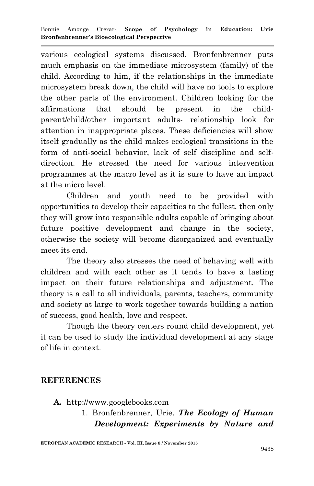various ecological systems discussed, Bronfenbrenner puts much emphasis on the immediate microsystem (family) of the child. According to him, if the relationships in the immediate microsystem break down, the child will have no tools to explore the other parts of the environment. Children looking for the affirmations that should be present in the childparent/child/other important adults- relationship look for attention in inappropriate places. These deficiencies will show itself gradually as the child makes ecological transitions in the form of anti-social behavior, lack of self discipline and selfdirection. He stressed the need for various intervention programmes at the macro level as it is sure to have an impact at the micro level.

Children and youth need to be provided with opportunities to develop their capacities to the fullest, then only they will grow into responsible adults capable of bringing about future positive development and change in the society, otherwise the society will become disorganized and eventually meet its end.

The theory also stresses the need of behaving well with children and with each other as it tends to have a lasting impact on their future relationships and adjustment. The theory is a call to all individuals, parents, teachers, community and society at large to work together towards building a nation of success, good health, love and respect.

Though the theory centers round child development, yet it can be used to study the individual development at any stage of life in context.

## **REFERENCES**

- **A.** [http://www.googlebooks.com](http://www.googlebooks.com/)
	- 1. Bronfenbrenner, Urie. *The Ecology of Human Development: Experiments by Nature and*

**EUROPEAN ACADEMIC RESEARCH - Vol. III, Issue 8 / November 2015**